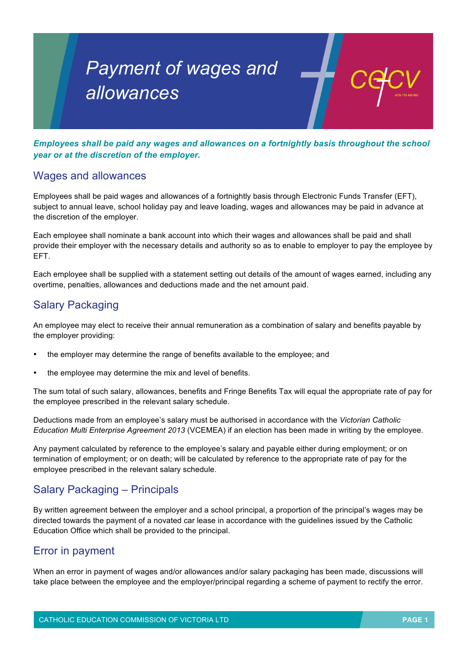# *Payment of wages and allowances*

*Employees shall be paid any wages and allowances on a fortnightly basis throughout the school year or at the discretion of the employer.*

#### Wages and allowances

Employees shall be paid wages and allowances of a fortnightly basis through Electronic Funds Transfer (EFT), subject to annual leave, school holiday pay and leave loading, wages and allowances may be paid in advance at the discretion of the employer.

Each employee shall nominate a bank account into which their wages and allowances shall be paid and shall provide their employer with the necessary details and authority so as to enable to employer to pay the employee by EFT.

Each employee shall be supplied with a statement setting out details of the amount of wages earned, including any overtime, penalties, allowances and deductions made and the net amount paid.

## Salary Packaging

An employee may elect to receive their annual remuneration as a combination of salary and benefits payable by the employer providing:

- the employer may determine the range of benefits available to the employee; and
- the employee may determine the mix and level of benefits.

The sum total of such salary, allowances, benefits and Fringe Benefits Tax will equal the appropriate rate of pay for the employee prescribed in the relevant salary schedule.

Deductions made from an employee's salary must be authorised in accordance with the *Victorian Catholic Education Multi Enterprise Agreement 2013* (VCEMEA) if an election has been made in writing by the employee.

Any payment calculated by reference to the employee's salary and payable either during employment; or on termination of employment; or on death; will be calculated by reference to the appropriate rate of pay for the employee prescribed in the relevant salary schedule.

## Salary Packaging – Principals

By written agreement between the employer and a school principal, a proportion of the principal's wages may be directed towards the payment of a novated car lease in accordance with the guidelines issued by the Catholic Education Office which shall be provided to the principal.

### Error in payment

When an error in payment of wages and/or allowances and/or salary packaging has been made, discussions will take place between the employee and the employer/principal regarding a scheme of payment to rectify the error.